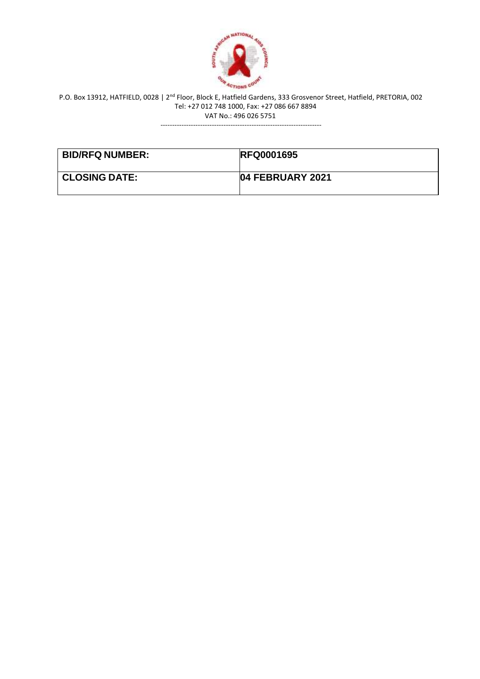

---------------------------------------------------------------------

| <b>BID/RFQ NUMBER:</b> | <b>RFQ0001695</b> |
|------------------------|-------------------|
| <b>CLOSING DATE:</b>   | 04 FEBRUARY 2021  |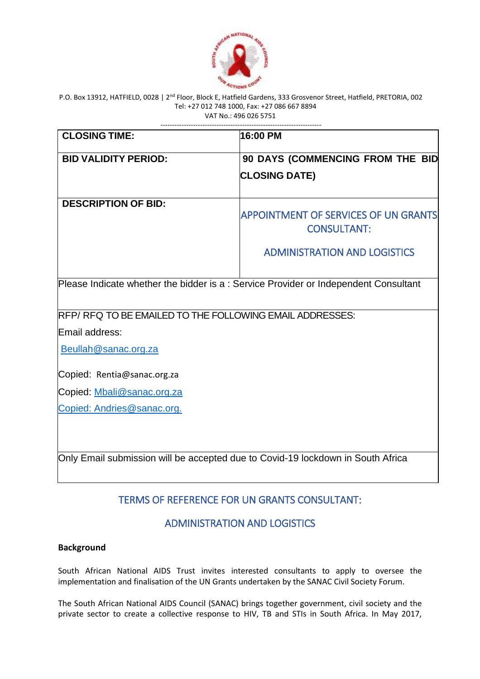

| <b>CLOSING TIME:</b>                                                                | 16:00 PM                                                          |
|-------------------------------------------------------------------------------------|-------------------------------------------------------------------|
| <b>BID VALIDITY PERIOD:</b>                                                         | 90 DAYS (COMMENCING FROM THE BID                                  |
|                                                                                     | <b>CLOSING DATE)</b>                                              |
| <b>DESCRIPTION OF BID:</b>                                                          | <b>APPOINTMENT OF SERVICES OF UN GRANTS</b><br><b>CONSULTANT:</b> |
|                                                                                     | <b>ADMINISTRATION AND LOGISTICS</b>                               |
| Please Indicate whether the bidder is a: Service Provider or Independent Consultant |                                                                   |
| RFP/ RFQ TO BE EMAILED TO THE FOLLOWING EMAIL ADDRESSES:                            |                                                                   |
| Email address:                                                                      |                                                                   |
| Beullah@sanac.org.za                                                                |                                                                   |
| Copied: Rentia@sanac.org.za                                                         |                                                                   |
| Copied: Mbali@sanac.org.za                                                          |                                                                   |
| Copied: Andries@sanac.org.                                                          |                                                                   |
| Only Email submission will be accepted due to Covid-19 lockdown in South Africa     |                                                                   |

# TERMS OF REFERENCE FOR UN GRANTS CONSULTANT:

# ADMINISTRATION AND LOGISTICS

# **Background**

South African National AIDS Trust invites interested consultants to apply to oversee the implementation and finalisation of the UN Grants undertaken by the SANAC Civil Society Forum.

The South African National AIDS Council (SANAC) brings together government, civil society and the private sector to create a collective response to HIV, TB and STIs in South Africa. In May 2017,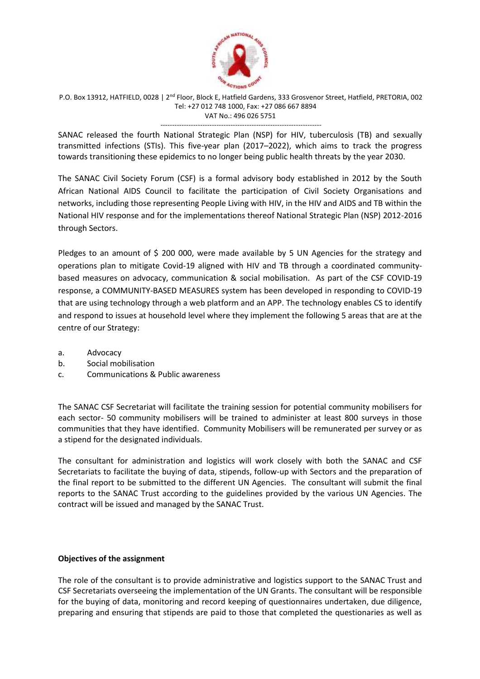

--------------------------------------------------------------------- SANAC released the fourth National Strategic Plan (NSP) for HIV, tuberculosis (TB) and sexually transmitted infections (STIs). This five-year plan (2017–2022), which aims to track the progress towards transitioning these epidemics to no longer being public health threats by the year 2030.

The SANAC Civil Society Forum (CSF) is a formal advisory body established in 2012 by the South African National AIDS Council to facilitate the participation of Civil Society Organisations and networks, including those representing People Living with HIV, in the HIV and AIDS and TB within the National HIV response and for the implementations thereof National Strategic Plan (NSP) 2012-2016 through Sectors.

Pledges to an amount of \$ 200 000, were made available by 5 UN Agencies for the strategy and operations plan to mitigate Covid-19 aligned with HIV and TB through a coordinated communitybased measures on advocacy, communication & social mobilisation. As part of the CSF COVID-19 response, a COMMUNITY-BASED MEASURES system has been developed in responding to COVID-19 that are using technology through a web platform and an APP. The technology enables CS to identify and respond to issues at household level where they implement the following 5 areas that are at the centre of our Strategy:

- a. Advocacy
- b. Social mobilisation
- c. Communications & Public awareness

The SANAC CSF Secretariat will facilitate the training session for potential community mobilisers for each sector- 50 community mobilisers will be trained to administer at least 800 surveys in those communities that they have identified. Community Mobilisers will be remunerated per survey or as a stipend for the designated individuals.

The consultant for administration and logistics will work closely with both the SANAC and CSF Secretariats to facilitate the buying of data, stipends, follow-up with Sectors and the preparation of the final report to be submitted to the different UN Agencies. The consultant will submit the final reports to the SANAC Trust according to the guidelines provided by the various UN Agencies. The contract will be issued and managed by the SANAC Trust.

# **Objectives of the assignment**

The role of the consultant is to provide administrative and logistics support to the SANAC Trust and CSF Secretariats overseeing the implementation of the UN Grants. The consultant will be responsible for the buying of data, monitoring and record keeping of questionnaires undertaken, due diligence, preparing and ensuring that stipends are paid to those that completed the questionaries as well as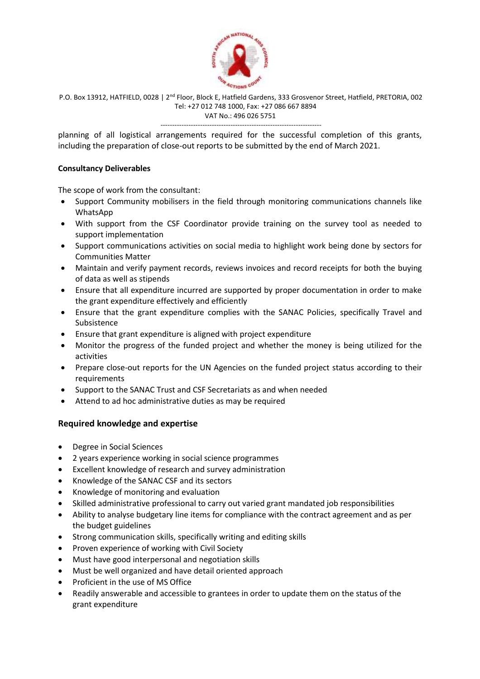

---------------------------------------------------------------------

planning of all logistical arrangements required for the successful completion of this grants, including the preparation of close-out reports to be submitted by the end of March 2021.

# **Consultancy Deliverables**

The scope of work from the consultant:

- Support Community mobilisers in the field through monitoring communications channels like WhatsApp
- With support from the CSF Coordinator provide training on the survey tool as needed to support implementation
- Support communications activities on social media to highlight work being done by sectors for Communities Matter
- Maintain and verify payment records, reviews invoices and record receipts for both the buying of data as well as stipends
- Ensure that all expenditure incurred are supported by proper documentation in order to make the grant expenditure effectively and efficiently
- Ensure that the grant expenditure complies with the SANAC Policies, specifically Travel and Subsistence
- Ensure that grant expenditure is aligned with project expenditure
- Monitor the progress of the funded project and whether the money is being utilized for the activities
- Prepare close-out reports for the UN Agencies on the funded project status according to their requirements
- Support to the SANAC Trust and CSF Secretariats as and when needed
- Attend to ad hoc administrative duties as may be required

# **Required knowledge and expertise**

- Degree in Social Sciences
- 2 years experience working in social science programmes
- Excellent knowledge of research and survey administration
- Knowledge of the SANAC CSF and its sectors
- Knowledge of monitoring and evaluation
- Skilled administrative professional to carry out varied grant mandated job responsibilities
- Ability to analyse budgetary line items for compliance with the contract agreement and as per the budget guidelines
- Strong communication skills, specifically writing and editing skills
- Proven experience of working with Civil Society
- Must have good interpersonal and negotiation skills
- Must be well organized and have detail oriented approach
- Proficient in the use of MS Office
- Readily answerable and accessible to grantees in order to update them on the status of the grant expenditure